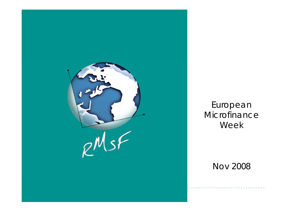

European Microfinance Wee k

Nov 2008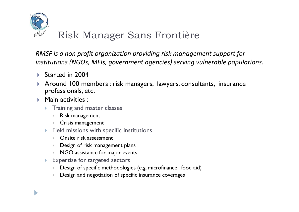

# Risk Manager Sans Frontière

*RMSF is a non profit organization providing risk management support for institutions (NGOs, MFIs, government agencies) serving vulnerable populations.*

- ▶ Started in 2004
- ▶ Around 100 members : risk managers, lawyers, consultants, insurance  $\blacktriangleright$ professionals, etc.
- $\blacktriangleright$  Main activities :
	- $\blacktriangleright$ Training and master classes
		- $\mathbf{r}$ Risk management
		- $\mathbf{\bar{}}$ Crisis management
	- $\blacktriangleright$  Field missions with specific institutions
		- **Diangle 12 Series Fondor** 2 Series Posters
		- $\mathbf{\bar{}}$ Design of risk management plans
		- $\mathbf{r}$ NGO assistance for major events
	- $\blacktriangleright$  Expertise for targeted sectors
		- $\mathbf{r}$ Design of specific methodologies (e.g. microfinance, food aid)
		- $\mathbf{r}$ Design and negotiation of specific insurance coverages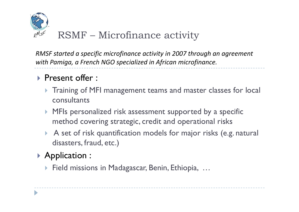

*RMSF started <sup>a</sup> specific microfinance activity in 2007 through an agreement with Pamiga, <sup>a</sup> French NGO specialized in African microfinance.*

## **Present offer:**

- **Training of MFI management teams and master classes for local** consultants
- $\blacktriangleright$  MFIs personalized risk assessment supported by a specific method covering strategic, credit and operational risks
- $\blacktriangleright$  A set of risk quantification models for major risks (e.g. natural disasters, fraud, etc.)

# $\triangleright$  Application :

▶ Field missions in Madagascar, Benin, Ethiopia, ...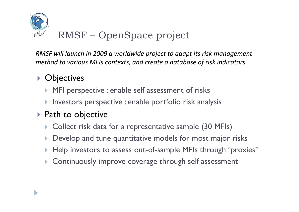

*RMSF will launch in 2009 <sup>a</sup> worldwide project to adapt its risk management method to various MFIs contexts, and create <sup>a</sup> database of risk indicators.*

### **D**bjectives j

- **MFI perspective : enable self assessment of risks**
- $\blacktriangleright$  Investors perspective : enable portfolio risk analysis

## ▶ Path to objective

- **Collect risk data for a representative sample (30 MFIs)**
- $\blacktriangleright$ Develop and tune quantitative models for most major risks
- $\blacktriangleright$  Help investors to assess out-of-sample MFIs through "proxies"
- $\blacktriangleright$ Continuously improve coverage through self assessment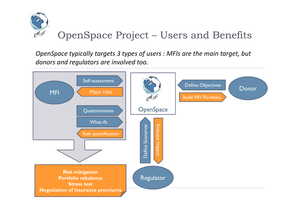

### OpenSpace Project – Users and Benefits

*OpenSpace typically targets 3 types of users : MFIs are the main target, but donors and regulators are involved too.*

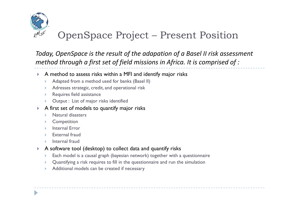

### OpenSpace Project – Present Position

*Today, OpenSpace is the result of the adapation of a Basel II risk assessment method through a first set of field missions in Africa. It is comprised of :*

- $\blacktriangleright$   $\;$  A method to assess risks within a MFI and identify major risks
	- $\mathbf{r}$ Adapted from a method used for banks (Basel II)
	- $\blacktriangleright$ Adresses strategic, credit, and operational risk
	- $\blacktriangleright$ Requires field assistance
	- $\blacktriangleright$ Output : List of major risks identified
- $\blacktriangleright$  A first set of models to quantify major risks
	- $\mathbf{b}$ Natural disasters
	- $\mathbf{\bar{}}$ **Competition**
	- $\mathbf{\bar{}}$ **Internal Error**
	- $\mathbf{b}$ External fraud
	- $\blacktriangleright$ Internal fraud
- $\blacktriangleright$  A software tool (desktop) to collect data and quantify risks
	- $\blacktriangleright$  $\blacktriangleright$  Each model is a causal graph (bayesian network) together with a questionnaire
	- $\mathbf{\bar{}}$ Quantifying a risk requires to fill in the questionnaire and run the simulation
	- $\mathbf{\bar{}}$ Additional models can be created if necessary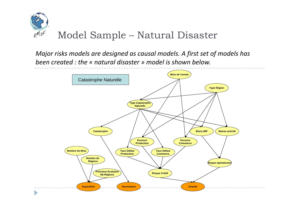

*Major risks models are designed as causal models. A first set of models has been created : the « natural disaster » model is shown below.*

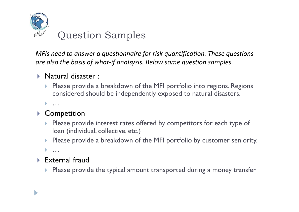

*MFIs need to answer <sup>a</sup> questionnaire for risk quantification. These questions are also the basis of what‐if analsysis. Below some question samples.*

### **Natural disaster :**

- $\blacktriangleright$  Please provide a breakdown of the MFI portfolio into regions. Regions considered should be independently exposed to natural disasters.
- $\blacktriangleright$ …

#### $\blacktriangleright$ **Competition**

- **Please provide interest rates offered by competitors for each type of** loan (individual, collective, etc.)
- $\blacktriangleright$ Please provide a breakdown of the MFI portfolio by customer seniority.

 $\blacktriangleright$ …

### $\triangleright$  External fraud

 $\blacktriangleright$  Please provide the typical amount transported during a money transfer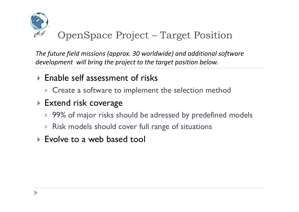

#### OpenSpace Project –Target Position

*The future field missions (approx. 30 worldwide) and additional software development will bring the project to the target position below.*

## $\triangleright$  Enable self assessment of risks

 $\triangleright$  Create a software to implement the selection method

### **Extend risk coverage**

- ▶ 99% of major risks should be adressed by predefined models
- **Risk models should cover full range of situations**
- **Evolve to a web based tool**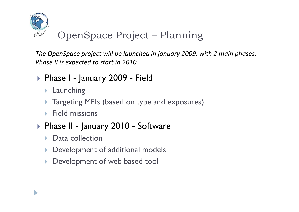

#### OpenSpace Project –Planning

*The OpenSpace project will be launched in january 2009, with 2 main phases. Phase II is expected to start in 2010.*

- ▶ Phase I January 2009 Field
	- **> Launching**
	- Integrating MFIs (based on type and exposures)
	- $\triangleright$  Field missions
- ▶ Phase II January 2010 Software
	- **Data collection**
	- **Development of additional models**
	- **Development of web based tool**